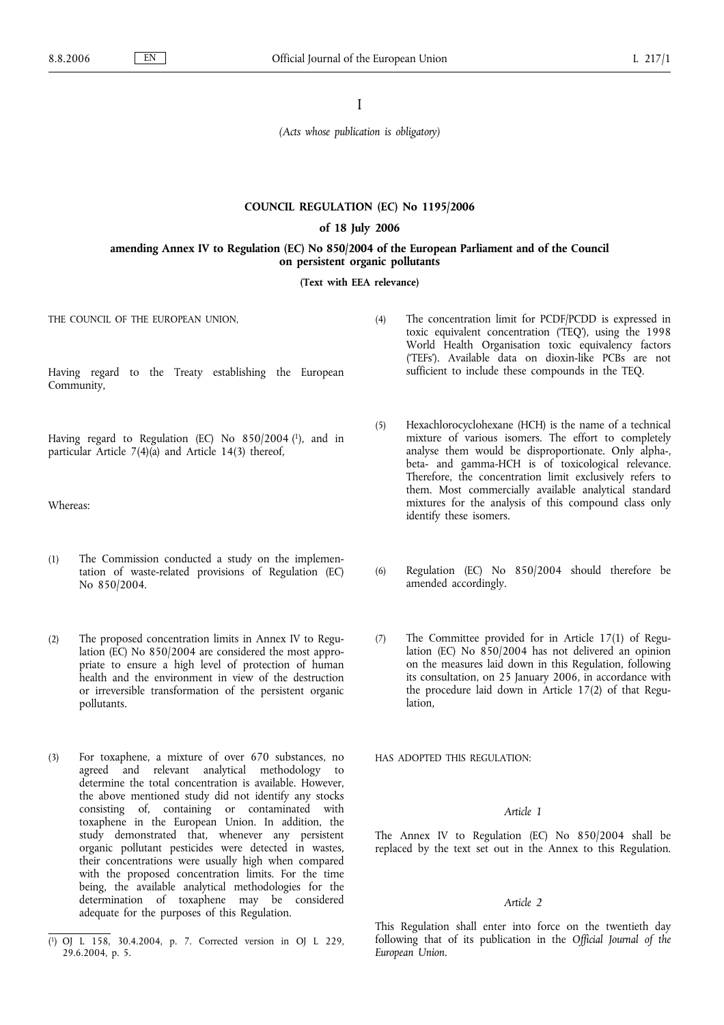I

*(Acts whose publication is obligatory)*

### **COUNCIL REGULATION (EC) No 1195/2006**

#### **of 18 July 2006**

### **amending Annex IV to Regulation (EC) No 850/2004 of the European Parliament and of the Council on persistent organic pollutants**

**(Text with EEA relevance)**

THE COUNCIL OF THE EUROPEAN UNION.

Having regard to the Treaty establishing the European Community,

Having regard to Regulation (EC) No 850/2004 (1), and in particular Article 7(4)(a) and Article 14(3) thereof,

Whereas:

- (1) The Commission conducted a study on the implementation of waste-related provisions of Regulation (EC) No 850/2004.
- (2) The proposed concentration limits in Annex IV to Regulation (EC) No 850/2004 are considered the most appropriate to ensure a high level of protection of human health and the environment in view of the destruction or irreversible transformation of the persistent organic pollutants.
- (3) For toxaphene, a mixture of over 670 substances, no agreed and relevant analytical methodology to determine the total concentration is available. However, the above mentioned study did not identify any stocks consisting of, containing or contaminated with toxaphene in the European Union. In addition, the study demonstrated that, whenever any persistent organic pollutant pesticides were detected in wastes, their concentrations were usually high when compared with the proposed concentration limits. For the time being, the available analytical methodologies for the determination of toxaphene may be considered adequate for the purposes of this Regulation.
- (4) The concentration limit for PCDF/PCDD is expressed in toxic equivalent concentration ('TEQ'), using the 1998 World Health Organisation toxic equivalency factors ('TEFs'). Available data on dioxin-like PCBs are not sufficient to include these compounds in the TEQ.
- (5) Hexachlorocyclohexane (HCH) is the name of a technical mixture of various isomers. The effort to completely analyse them would be disproportionate. Only alpha-, beta- and gamma-HCH is of toxicological relevance. Therefore, the concentration limit exclusively refers to them. Most commercially available analytical standard mixtures for the analysis of this compound class only identify these isomers.
- (6) Regulation (EC) No 850/2004 should therefore be amended accordingly.
- (7) The Committee provided for in Article 17(1) of Regulation (EC) No 850/2004 has not delivered an opinion on the measures laid down in this Regulation, following its consultation, on 25 January 2006, in accordance with the procedure laid down in Article 17(2) of that Regulation,

HAS ADOPTED THIS REGULATION:

#### *Article 1*

The Annex IV to Regulation (EC) No 850/2004 shall be replaced by the text set out in the Annex to this Regulation.

#### *Article 2*

This Regulation shall enter into force on the twentieth day following that of its publication in the *Official Journal of the European Union*.

<sup>(</sup> 1) OJ L 158, 30.4.2004, p. 7. Corrected version in OJ L 229, 29.6.2004, p. 5.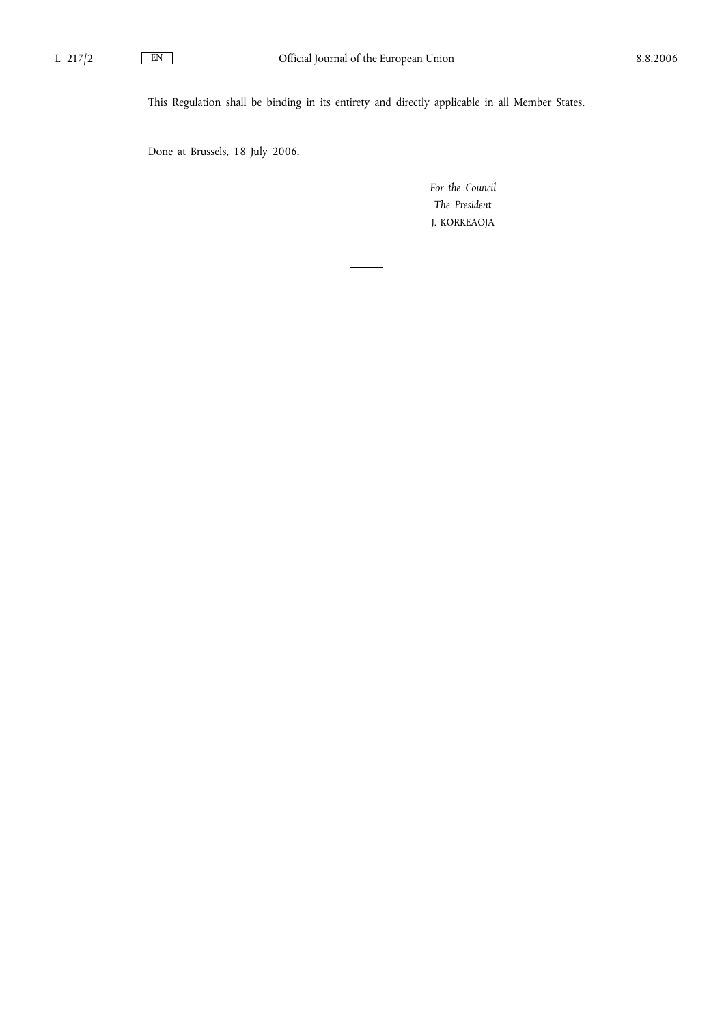This Regulation shall be binding in its entirety and directly applicable in all Member States.

Done at Brussels, 18 July 2006.

*For the Council The President* J. KORKEAOJA